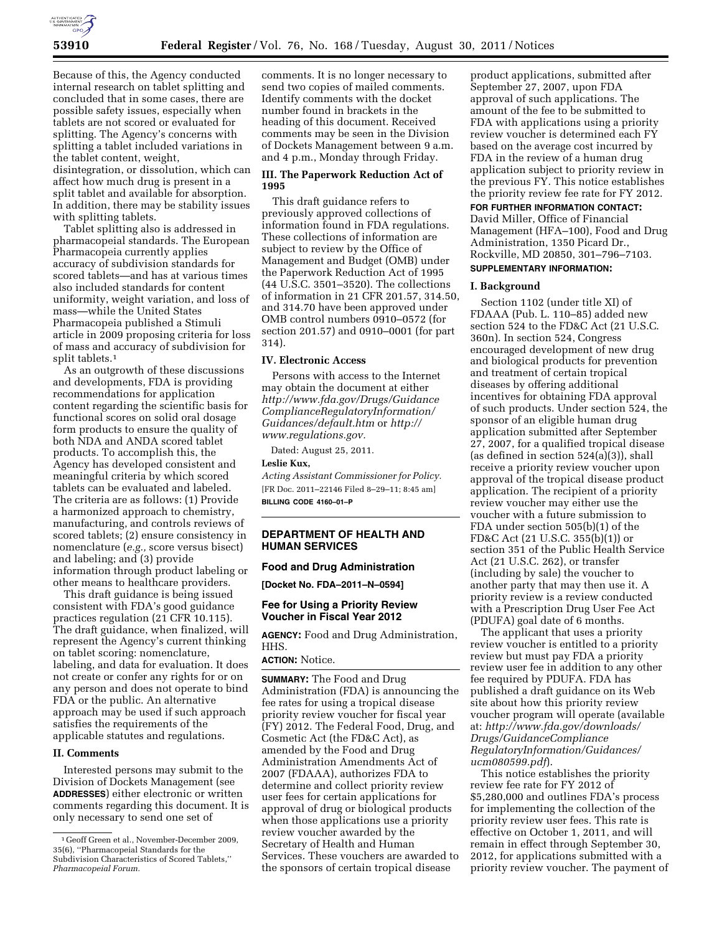

Because of this, the Agency conducted internal research on tablet splitting and concluded that in some cases, there are possible safety issues, especially when tablets are not scored or evaluated for splitting. The Agency's concerns with splitting a tablet included variations in the tablet content, weight, disintegration, or dissolution, which can affect how much drug is present in a split tablet and available for absorption. In addition, there may be stability issues with splitting tablets.

Tablet splitting also is addressed in pharmacopeial standards. The European Pharmacopeia currently applies accuracy of subdivision standards for scored tablets—and has at various times also included standards for content uniformity, weight variation, and loss of mass—while the United States Pharmacopeia published a Stimuli article in 2009 proposing criteria for loss of mass and accuracy of subdivision for split tablets.<sup>1</sup>

As an outgrowth of these discussions and developments, FDA is providing recommendations for application content regarding the scientific basis for functional scores on solid oral dosage form products to ensure the quality of both NDA and ANDA scored tablet products. To accomplish this, the Agency has developed consistent and meaningful criteria by which scored tablets can be evaluated and labeled. The criteria are as follows: (1) Provide a harmonized approach to chemistry, manufacturing, and controls reviews of scored tablets; (2) ensure consistency in nomenclature (*e.g.,* score versus bisect) and labeling; and (3) provide information through product labeling or other means to healthcare providers.

This draft guidance is being issued consistent with FDA's good guidance practices regulation (21 CFR 10.115). The draft guidance, when finalized, will represent the Agency's current thinking on tablet scoring: nomenclature, labeling, and data for evaluation. It does not create or confer any rights for or on any person and does not operate to bind FDA or the public. An alternative approach may be used if such approach satisfies the requirements of the applicable statutes and regulations.

#### **II. Comments**

Interested persons may submit to the Division of Dockets Management (see **ADDRESSES**) either electronic or written comments regarding this document. It is only necessary to send one set of

comments. It is no longer necessary to send two copies of mailed comments. Identify comments with the docket number found in brackets in the heading of this document. Received comments may be seen in the Division of Dockets Management between 9 a.m. and 4 p.m., Monday through Friday.

## **III. The Paperwork Reduction Act of 1995**

This draft guidance refers to previously approved collections of information found in FDA regulations. These collections of information are subject to review by the Office of Management and Budget (OMB) under the Paperwork Reduction Act of 1995 (44 U.S.C. 3501–3520). The collections of information in 21 CFR 201.57, 314.50, and 314.70 have been approved under OMB control numbers 0910–0572 (for section 201.57) and 0910–0001 (for part 314).

## **IV. Electronic Access**

Persons with access to the Internet may obtain the document at either *[http://www.fda.gov/Drugs/Guidance](http://www.fda.gov/Drugs/GuidanceComplianceRegulatoryInformation/Guidances/default.htm) [ComplianceRegulatoryInformation/](http://www.fda.gov/Drugs/GuidanceComplianceRegulatoryInformation/Guidances/default.htm) [Guidances/default.htm](http://www.fda.gov/Drugs/GuidanceComplianceRegulatoryInformation/Guidances/default.htm)* or *[http://](http://www.regulations.gov)  [www.regulations.gov.](http://www.regulations.gov)* 

Dated: August 25, 2011. **Leslie Kux,** 

*Acting Assistant Commissioner for Policy.*  [FR Doc. 2011–22146 Filed 8–29–11; 8:45 am] **BILLING CODE 4160–01–P** 

# **DEPARTMENT OF HEALTH AND HUMAN SERVICES**

#### **Food and Drug Administration**

**[Docket No. FDA–2011–N–0594]** 

## **Fee for Using a Priority Review Voucher in Fiscal Year 2012**

**AGENCY:** Food and Drug Administration, HHS.

# **ACTION:** Notice.

**SUMMARY:** The Food and Drug Administration (FDA) is announcing the fee rates for using a tropical disease priority review voucher for fiscal year (FY) 2012. The Federal Food, Drug, and Cosmetic Act (the FD&C Act), as amended by the Food and Drug Administration Amendments Act of 2007 (FDAAA), authorizes FDA to determine and collect priority review user fees for certain applications for approval of drug or biological products when those applications use a priority review voucher awarded by the Secretary of Health and Human Services. These vouchers are awarded to the sponsors of certain tropical disease

product applications, submitted after September 27, 2007, upon FDA approval of such applications. The amount of the fee to be submitted to FDA with applications using a priority review voucher is determined each FY based on the average cost incurred by FDA in the review of a human drug application subject to priority review in the previous FY. This notice establishes the priority review fee rate for FY 2012.

# **FOR FURTHER INFORMATION CONTACT:**

David Miller, Office of Financial Management (HFA–100), Food and Drug Administration, 1350 Picard Dr., Rockville, MD 20850, 301–796–7103. **SUPPLEMENTARY INFORMATION:** 

# **I. Background**

Section 1102 (under title XI) of FDAAA (Pub. L. 110–85) added new section 524 to the FD&C Act (21 U.S.C. 360n). In section 524, Congress encouraged development of new drug and biological products for prevention and treatment of certain tropical diseases by offering additional incentives for obtaining FDA approval of such products. Under section 524, the sponsor of an eligible human drug application submitted after September 27, 2007, for a qualified tropical disease (as defined in section 524(a)(3)), shall receive a priority review voucher upon approval of the tropical disease product application. The recipient of a priority review voucher may either use the voucher with a future submission to FDA under section 505(b)(1) of the FD&C Act (21 U.S.C. 355(b)(1)) or section 351 of the Public Health Service Act (21 U.S.C. 262), or transfer (including by sale) the voucher to another party that may then use it. A priority review is a review conducted with a Prescription Drug User Fee Act (PDUFA) goal date of 6 months.

The applicant that uses a priority review voucher is entitled to a priority review but must pay FDA a priority review user fee in addition to any other fee required by PDUFA. FDA has published a draft guidance on its Web site about how this priority review voucher program will operate (available at: *[http://www.fda.gov/downloads/](http://www.fda.gov/downloads/Drugs/GuidanceComplianceRegulatoryInformation/Guidances/ucm080599.pdf) [Drugs/GuidanceCompliance](http://www.fda.gov/downloads/Drugs/GuidanceComplianceRegulatoryInformation/Guidances/ucm080599.pdf) [RegulatoryInformation/Guidances/](http://www.fda.gov/downloads/Drugs/GuidanceComplianceRegulatoryInformation/Guidances/ucm080599.pdf) [ucm080599.pdf](http://www.fda.gov/downloads/Drugs/GuidanceComplianceRegulatoryInformation/Guidances/ucm080599.pdf)*).

This notice establishes the priority review fee rate for FY 2012 of \$5,280,000 and outlines FDA's process for implementing the collection of the priority review user fees. This rate is effective on October 1, 2011, and will remain in effect through September 30, 2012, for applications submitted with a priority review voucher. The payment of

<sup>1</sup> Geoff Green et al., November-December 2009, 35(6), ''Pharmacopeial Standards for the Subdivision Characteristics of Scored Tablets,'' *Pharmacopeial Forum.*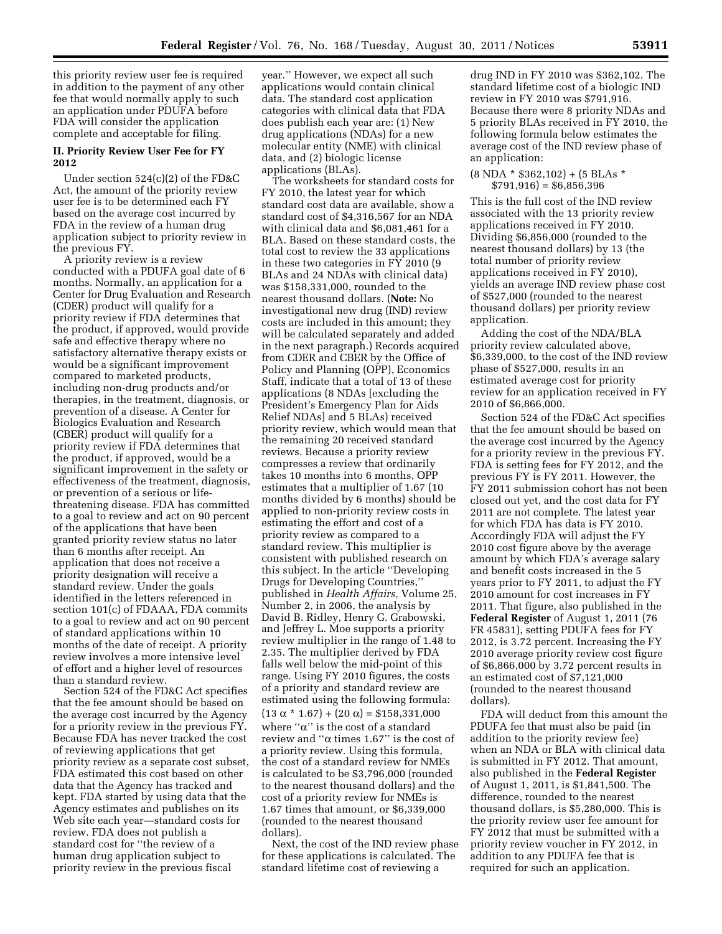this priority review user fee is required in addition to the payment of any other fee that would normally apply to such an application under PDUFA before FDA will consider the application complete and acceptable for filing.

## **II. Priority Review User Fee for FY 2012**

Under section 524(c)(2) of the FD&C Act, the amount of the priority review user fee is to be determined each FY based on the average cost incurred by FDA in the review of a human drug application subject to priority review in the previous FY.

A priority review is a review conducted with a PDUFA goal date of 6 months. Normally, an application for a Center for Drug Evaluation and Research (CDER) product will qualify for a priority review if FDA determines that the product, if approved, would provide safe and effective therapy where no satisfactory alternative therapy exists or would be a significant improvement compared to marketed products, including non-drug products and/or therapies, in the treatment, diagnosis, or prevention of a disease. A Center for Biologics Evaluation and Research (CBER) product will qualify for a priority review if FDA determines that the product, if approved, would be a significant improvement in the safety or effectiveness of the treatment, diagnosis, or prevention of a serious or lifethreatening disease. FDA has committed to a goal to review and act on 90 percent of the applications that have been granted priority review status no later than 6 months after receipt. An application that does not receive a priority designation will receive a standard review. Under the goals identified in the letters referenced in section 101(c) of FDAAA, FDA commits to a goal to review and act on 90 percent of standard applications within 10 months of the date of receipt. A priority review involves a more intensive level of effort and a higher level of resources than a standard review.

Section 524 of the FD&C Act specifies that the fee amount should be based on the average cost incurred by the Agency for a priority review in the previous FY. Because FDA has never tracked the cost of reviewing applications that get priority review as a separate cost subset, FDA estimated this cost based on other data that the Agency has tracked and kept. FDA started by using data that the Agency estimates and publishes on its Web site each year—standard costs for review. FDA does not publish a standard cost for ''the review of a human drug application subject to priority review in the previous fiscal

year.'' However, we expect all such applications would contain clinical data. The standard cost application categories with clinical data that FDA does publish each year are: (1) New drug applications (NDAs) for a new molecular entity (NME) with clinical data, and (2) biologic license applications (BLAs).

The worksheets for standard costs for FY 2010, the latest year for which standard cost data are available, show a standard cost of \$4,316,567 for an NDA with clinical data and \$6,081,461 for a BLA. Based on these standard costs, the total cost to review the 33 applications in these two categories in FY 2010 (9 BLAs and 24 NDAs with clinical data) was \$158,331,000, rounded to the nearest thousand dollars. (**Note:** No investigational new drug (IND) review costs are included in this amount; they will be calculated separately and added in the next paragraph.) Records acquired from CDER and CBER by the Office of Policy and Planning (OPP), Economics Staff, indicate that a total of 13 of these applications (8 NDAs [excluding the President's Emergency Plan for Aids Relief NDAs] and 5 BLAs) received priority review, which would mean that the remaining 20 received standard reviews. Because a priority review compresses a review that ordinarily takes 10 months into 6 months, OPP estimates that a multiplier of 1.67 (10 months divided by 6 months) should be applied to non-priority review costs in estimating the effort and cost of a priority review as compared to a standard review. This multiplier is consistent with published research on this subject. In the article ''Developing Drugs for Developing Countries,'' published in *Health Affairs,* Volume 25, Number 2, in 2006, the analysis by David B. Ridley, Henry G. Grabowski, and Jeffrey L. Moe supports a priority review multiplier in the range of 1.48 to 2.35. The multiplier derived by FDA falls well below the mid-point of this range. Using FY 2010 figures, the costs of a priority and standard review are estimated using the following formula:  $(13 \alpha * 1.67) + (20 \alpha) = $158,331,000$ where " $\alpha$ " is the cost of a standard review and " $\alpha$  times 1.67" is the cost of a priority review. Using this formula, the cost of a standard review for NMEs is calculated to be \$3,796,000 (rounded to the nearest thousand dollars) and the cost of a priority review for NMEs is 1.67 times that amount, or \$6,339,000 (rounded to the nearest thousand dollars).

Next, the cost of the IND review phase for these applications is calculated. The standard lifetime cost of reviewing a

drug IND in FY 2010 was \$362,102. The standard lifetime cost of a biologic IND review in FY 2010 was \$791,916. Because there were 8 priority NDAs and 5 priority BLAs received in FY 2010, the following formula below estimates the average cost of the IND review phase of an application:

#### $(8 \text{ NDA} * $362,102) + (5 \text{ BLAs} *$  $$791,916$ ) = \$6,856,396

This is the full cost of the IND review associated with the 13 priority review applications received in FY 2010. Dividing \$6,856,000 (rounded to the nearest thousand dollars) by 13 (the total number of priority review applications received in FY 2010), yields an average IND review phase cost of \$527,000 (rounded to the nearest thousand dollars) per priority review application.

Adding the cost of the NDA/BLA priority review calculated above, \$6,339,000, to the cost of the IND review phase of \$527,000, results in an estimated average cost for priority review for an application received in FY 2010 of \$6,866,000.

Section 524 of the FD&C Act specifies that the fee amount should be based on the average cost incurred by the Agency for a priority review in the previous FY. FDA is setting fees for FY 2012, and the previous FY is FY 2011. However, the FY 2011 submission cohort has not been closed out yet, and the cost data for FY 2011 are not complete. The latest year for which FDA has data is FY 2010. Accordingly FDA will adjust the FY 2010 cost figure above by the average amount by which FDA's average salary and benefit costs increased in the 5 years prior to FY 2011, to adjust the FY 2010 amount for cost increases in FY 2011. That figure, also published in the **Federal Register** of August 1, 2011 (76 FR 45831), setting PDUFA fees for FY 2012, is 3.72 percent. Increasing the FY 2010 average priority review cost figure of \$6,866,000 by 3.72 percent results in an estimated cost of \$7,121,000 (rounded to the nearest thousand dollars).

FDA will deduct from this amount the PDUFA fee that must also be paid (in addition to the priority review fee) when an NDA or BLA with clinical data is submitted in FY 2012. That amount, also published in the **Federal Register**  of August 1, 2011, is \$1,841,500. The difference, rounded to the nearest thousand dollars, is \$5,280,000. This is the priority review user fee amount for FY 2012 that must be submitted with a priority review voucher in FY 2012, in addition to any PDUFA fee that is required for such an application.